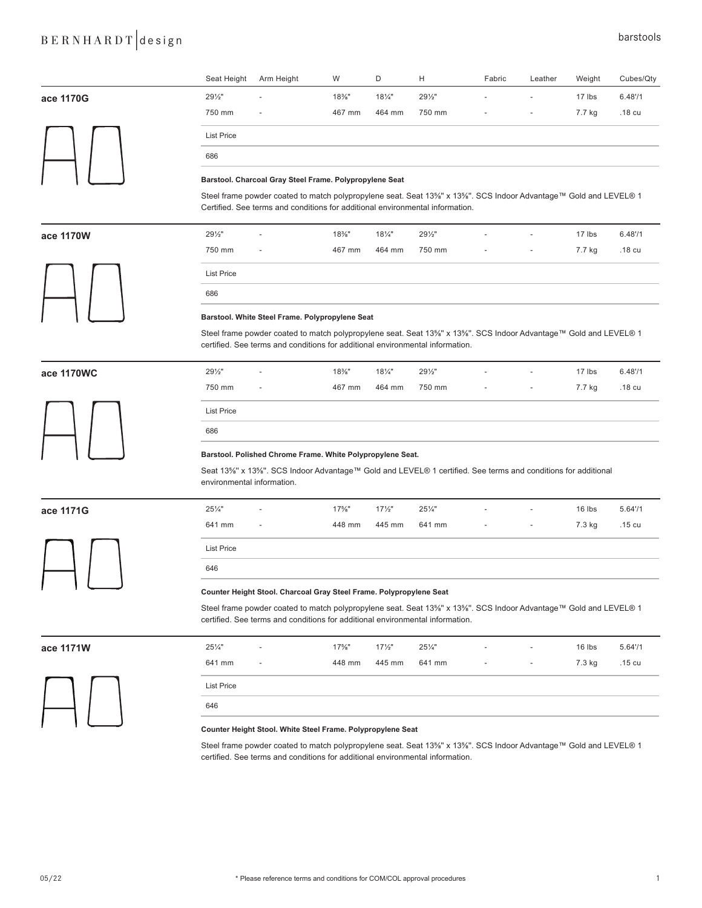## B E R N H A R D T design barstools

|            | Seat Height                                                                                                                                                                                       | Arm Height                                                                                                                                                                                        | W        | D                 | Н               | Fabric | Leather | Weight | Cubes/Qty  |  |  |
|------------|---------------------------------------------------------------------------------------------------------------------------------------------------------------------------------------------------|---------------------------------------------------------------------------------------------------------------------------------------------------------------------------------------------------|----------|-------------------|-----------------|--------|---------|--------|------------|--|--|
| ace 1170G  | 291/2"                                                                                                                                                                                            |                                                                                                                                                                                                   | $18\%$ " | 181/4"            | 291/2"          |        |         | 17 lbs | 6.48''/1   |  |  |
|            | 750 mm                                                                                                                                                                                            |                                                                                                                                                                                                   | 467 mm   | 464 mm            | 750 mm          |        |         | 7.7 kg | .18 cu     |  |  |
|            | <b>List Price</b>                                                                                                                                                                                 |                                                                                                                                                                                                   |          |                   |                 |        |         |        |            |  |  |
|            | 686                                                                                                                                                                                               |                                                                                                                                                                                                   |          |                   |                 |        |         |        |            |  |  |
|            |                                                                                                                                                                                                   | Barstool. Charcoal Gray Steel Frame. Polypropylene Seat                                                                                                                                           |          |                   |                 |        |         |        |            |  |  |
|            |                                                                                                                                                                                                   | Steel frame powder coated to match polypropylene seat. Seat 13%" x 13%". SCS Indoor Advantage™ Gold and LEVEL® 1<br>Certified. See terms and conditions for additional environmental information. |          |                   |                 |        |         |        |            |  |  |
| ace 1170W  | 291/2"                                                                                                                                                                                            |                                                                                                                                                                                                   | $18\%$ " | $18\frac{1}{4}$ " | 291/2"          |        |         | 17 lbs | $6.48'$ /1 |  |  |
|            | 750 mm                                                                                                                                                                                            |                                                                                                                                                                                                   | 467 mm   | 464 mm            | 750 mm          |        |         | 7.7 kg | .18 cu     |  |  |
|            | <b>List Price</b>                                                                                                                                                                                 |                                                                                                                                                                                                   |          |                   |                 |        |         |        |            |  |  |
|            | 686                                                                                                                                                                                               |                                                                                                                                                                                                   |          |                   |                 |        |         |        |            |  |  |
|            |                                                                                                                                                                                                   | Barstool. White Steel Frame. Polypropylene Seat                                                                                                                                                   |          |                   |                 |        |         |        |            |  |  |
|            |                                                                                                                                                                                                   | Steel frame powder coated to match polypropylene seat. Seat 13%" x 13%". SCS Indoor Advantage™ Gold and LEVEL® 1<br>certified. See terms and conditions for additional environmental information. |          |                   |                 |        |         |        |            |  |  |
| ace 1170WC | 291/2"                                                                                                                                                                                            |                                                                                                                                                                                                   | $18\%$ " | $18\frac{1}{4}$ " | 291/2"          |        |         | 17 lbs | $6.48'$ /1 |  |  |
|            | 750 mm                                                                                                                                                                                            |                                                                                                                                                                                                   | 467 mm   | 464 mm            | 750 mm          |        |         | 7.7 kg | .18 cu     |  |  |
|            | <b>List Price</b>                                                                                                                                                                                 |                                                                                                                                                                                                   |          |                   |                 |        |         |        |            |  |  |
|            | 686                                                                                                                                                                                               |                                                                                                                                                                                                   |          |                   |                 |        |         |        |            |  |  |
|            |                                                                                                                                                                                                   | Barstool. Polished Chrome Frame. White Polypropylene Seat.                                                                                                                                        |          |                   |                 |        |         |        |            |  |  |
|            |                                                                                                                                                                                                   | Seat 13%" x 13%". SCS Indoor Advantage™ Gold and LEVEL® 1 certified. See terms and conditions for additional<br>environmental information.                                                        |          |                   |                 |        |         |        |            |  |  |
| ace 1171G  | 251/4"                                                                                                                                                                                            |                                                                                                                                                                                                   | $17\%$ " | $17\frac{1}{2}$   | $25\frac{1}{4}$ |        |         | 16 lbs | $5.64'$ /1 |  |  |
|            | 641 mm                                                                                                                                                                                            |                                                                                                                                                                                                   | 448 mm   | 445 mm            | 641 mm          |        |         | 7.3 kg | .15 cu     |  |  |
|            | <b>List Price</b>                                                                                                                                                                                 |                                                                                                                                                                                                   |          |                   |                 |        |         |        |            |  |  |
|            | 646                                                                                                                                                                                               |                                                                                                                                                                                                   |          |                   |                 |        |         |        |            |  |  |
|            |                                                                                                                                                                                                   | Counter Height Stool. Charcoal Gray Steel Frame. Polypropylene Seat                                                                                                                               |          |                   |                 |        |         |        |            |  |  |
|            | Steel frame powder coated to match polypropylene seat. Seat 13%" x 13%". SCS Indoor Advantage™ Gold and LEVEL® 1<br>certified. See terms and conditions for additional environmental information. |                                                                                                                                                                                                   |          |                   |                 |        |         |        |            |  |  |
|            |                                                                                                                                                                                                   |                                                                                                                                                                                                   |          |                   |                 |        |         |        |            |  |  |

| ace 1171W | $25\frac{1}{4}$ " | $\overline{\phantom{a}}$ | $17\%$ " | $17\frac{1}{2}$ " | $25\frac{1}{4}$ | $\sim$ | $\sim$                   | $16$ lbs | 5.6471            |
|-----------|-------------------|--------------------------|----------|-------------------|-----------------|--------|--------------------------|----------|-------------------|
|           | 641 mm            | $\overline{\phantom{a}}$ | 448 mm   | 445 mm            | 641 mm          | $\sim$ | <b>Contract Contract</b> | 7.3 kg   | .15 <sub>cu</sub> |
|           | <b>List Price</b> |                          |          |                   |                 |        |                          |          |                   |
|           | 646               |                          |          |                   |                 |        |                          |          |                   |
|           |                   |                          |          |                   |                 |        |                          |          |                   |

## **Counter Height Stool. White Steel Frame. Polypropylene Seat**

Steel frame powder coated to match polypropylene seat. Seat 13⅝'' x 13⅝''. SCS Indoor Advantage™ Gold and LEVEL® 1 certified. See terms and conditions for additional environmental information.